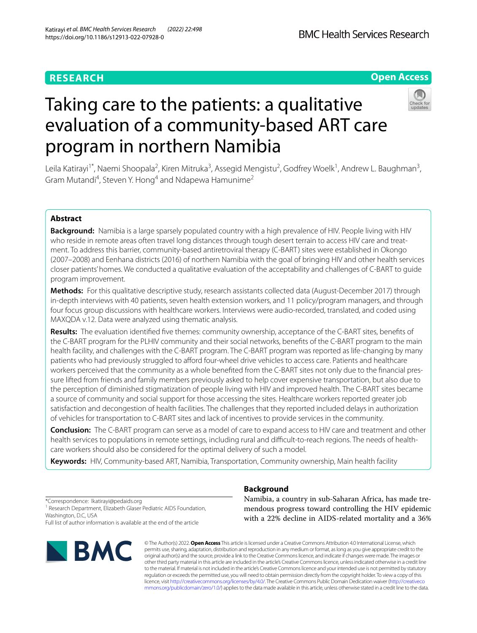# Taking care to the patients: a qualitative evaluation of a community-based ART care program in northern Namibia

Leila Katirayi<sup>1\*</sup>, Naemi Shoopala<sup>2</sup>, Kiren Mitruka<sup>3</sup>, Assegid Mengistu<sup>2</sup>, Godfrey Woelk<sup>1</sup>, Andrew L. Baughman<sup>3</sup>, Gram Mutandi<sup>4</sup>, Steven Y. Hong<sup>4</sup> and Ndapewa Hamunime<sup>2</sup>

# **Abstract**

**Background:** Namibia is a large sparsely populated country with a high prevalence of HIV. People living with HIV who reside in remote areas often travel long distances through tough desert terrain to access HIV care and treatment. To address this barrier, community-based antiretroviral therapy (C-BART) sites were established in Okongo (2007–2008) and Eenhana districts (2016) of northern Namibia with the goal of bringing HIV and other health services closer patients' homes. We conducted a qualitative evaluation of the acceptability and challenges of C-BART to guide program improvement.

**Methods:** For this qualitative descriptive study, research assistants collected data (August-December 2017) through in-depth interviews with 40 patients, seven health extension workers, and 11 policy/program managers, and through four focus group discussions with healthcare workers. Interviews were audio-recorded, translated, and coded using MAXQDA v.12. Data were analyzed using thematic analysis.

**Results:** The evaluation identifed fve themes: community ownership, acceptance of the C-BART sites, benefts of the C-BART program for the PLHIV community and their social networks, benefts of the C-BART program to the main health facility, and challenges with the C-BART program. The C-BART program was reported as life-changing by many patients who had previously struggled to afford four-wheel drive vehicles to access care. Patients and healthcare workers perceived that the community as a whole benefted from the C-BART sites not only due to the fnancial pressure lifted from friends and family members previously asked to help cover expensive transportation, but also due to the perception of diminished stigmatization of people living with HIV and improved health. The C-BART sites became a source of community and social support for those accessing the sites. Healthcare workers reported greater job satisfaction and decongestion of health facilities. The challenges that they reported included delays in authorization of vehicles for transportation to C-BART sites and lack of incentives to provide services in the community.

**Conclusion:** The C-BART program can serve as a model of care to expand access to HIV care and treatment and other health services to populations in remote settings, including rural and difcult-to-reach regions. The needs of healthcare workers should also be considered for the optimal delivery of such a model.

**Keywords:** HIV, Community-based ART, Namibia, Transportation, Community ownership, Main health facility

\*Correspondence: lkatirayi@pedaids.org <sup>1</sup> Research Department, Elizabeth Glaser Pediatric AIDS Foundation, Washington, D.C, USA

Full list of author information is available at the end of the article



# **Background**

Namibia, a country in sub-Saharan Africa, has made tremendous progress toward controlling the HIV epidemic with a 22% decline in AIDS-related mortality and a 36%

© The Author(s) 2022. **Open Access** This article is licensed under a Creative Commons Attribution 4.0 International License, which permits use, sharing, adaptation, distribution and reproduction in any medium or format, as long as you give appropriate credit to the original author(s) and the source, provide a link to the Creative Commons licence, and indicate if changes were made. The images or other third party material in this article are included in the article's Creative Commons licence, unless indicated otherwise in a credit line to the material. If material is not included in the article's Creative Commons licence and your intended use is not permitted by statutory regulation or exceeds the permitted use, you will need to obtain permission directly from the copyright holder. To view a copy of this licence, visit [http://creativecommons.org/licenses/by/4.0/.](http://creativecommons.org/licenses/by/4.0/) The Creative Commons Public Domain Dedication waiver ([http://creativeco](http://creativecommons.org/publicdomain/zero/1.0/) [mmons.org/publicdomain/zero/1.0/](http://creativecommons.org/publicdomain/zero/1.0/)) applies to the data made available in this article, unless otherwise stated in a credit line to the data.

# **Open Access**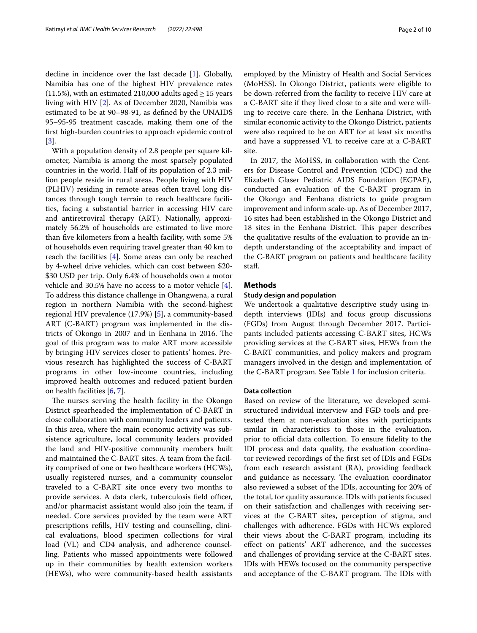decline in incidence over the last decade [[1\]](#page-8-0). Globally, Namibia has one of the highest HIV prevalence rates (11.5%), with an estimated 210,000 adults aged  $\geq$  15 years living with HIV [[2\]](#page-8-1). As of December 2020, Namibia was estimated to be at 90–98-91, as defned by the UNAIDS 95–95-95 treatment cascade, making them one of the frst high-burden countries to approach epidemic control [[3\]](#page-8-2).

With a population density of 2.8 people per square kilometer, Namibia is among the most sparsely populated countries in the world. Half of its population of 2.3 million people reside in rural areas. People living with HIV (PLHIV) residing in remote areas often travel long distances through tough terrain to reach healthcare facilities, facing a substantial barrier in accessing HIV care and antiretroviral therapy (ART). Nationally, approximately 56.2% of households are estimated to live more than fve kilometers from a health facility, with some 5% of households even requiring travel greater than 40 km to reach the facilities  $[4]$  $[4]$ . Some areas can only be reached by 4-wheel drive vehicles, which can cost between \$20- \$30 USD per trip. Only 6.4% of households own a motor vehicle and 30.5% have no access to a motor vehicle [\[4](#page-8-3)]. To address this distance challenge in Ohangwena, a rural region in northern Namibia with the second-highest regional HIV prevalence (17.9%) [\[5\]](#page-8-4), a community-based ART (C-BART) program was implemented in the districts of Okongo in 2007 and in Eenhana in 2016. The goal of this program was to make ART more accessible by bringing HIV services closer to patients' homes. Previous research has highlighted the success of C-BART programs in other low-income countries, including improved health outcomes and reduced patient burden on health facilities [[6,](#page-8-5) [7](#page-8-6)].

The nurses serving the health facility in the Okongo District spearheaded the implementation of C-BART in close collaboration with community leaders and patients. In this area, where the main economic activity was subsistence agriculture, local community leaders provided the land and HIV-positive community members built and maintained the C-BART sites. A team from the facility comprised of one or two healthcare workers (HCWs), usually registered nurses, and a community counselor traveled to a C-BART site once every two months to provide services. A data clerk, tuberculosis field officer, and/or pharmacist assistant would also join the team, if needed. Core services provided by the team were ART prescriptions reflls, HIV testing and counselling, clinical evaluations, blood specimen collections for viral load (VL) and CD4 analysis, and adherence counselling. Patients who missed appointments were followed up in their communities by health extension workers (HEWs), who were community-based health assistants employed by the Ministry of Health and Social Services (MoHSS). In Okongo District, patients were eligible to be down-referred from the facility to receive HIV care at a C-BART site if they lived close to a site and were willing to receive care there. In the Eenhana District, with similar economic activity to the Okongo District, patients were also required to be on ART for at least six months and have a suppressed VL to receive care at a C-BART site.

In 2017, the MoHSS, in collaboration with the Centers for Disease Control and Prevention (CDC) and the Elizabeth Glaser Pediatric AIDS Foundation (EGPAF), conducted an evaluation of the C-BART program in the Okongo and Eenhana districts to guide program improvement and inform scale-up. As of December 2017, 16 sites had been established in the Okongo District and 18 sites in the Eenhana District. This paper describes the qualitative results of the evaluation to provide an indepth understanding of the acceptability and impact of the C-BART program on patients and healthcare facility staf.

# **Methods**

# **Study design and population**

We undertook a qualitative descriptive study using indepth interviews (IDIs) and focus group discussions (FGDs) from August through December 2017. Participants included patients accessing C-BART sites, HCWs providing services at the C-BART sites, HEWs from the C-BART communities, and policy makers and program managers involved in the design and implementation of the C-BART program. See Table [1](#page-2-0) for inclusion criteria.

## **Data collection**

Based on review of the literature, we developed semistructured individual interview and FGD tools and pretested them at non-evaluation sites with participants similar in characteristics to those in the evaluation, prior to official data collection. To ensure fidelity to the IDI process and data quality, the evaluation coordinator reviewed recordings of the frst set of IDIs and FGDs from each research assistant (RA), providing feedback and guidance as necessary. The evaluation coordinator also reviewed a subset of the IDIs, accounting for 20% of the total, for quality assurance. IDIs with patients focused on their satisfaction and challenges with receiving services at the C-BART sites, perception of stigma, and challenges with adherence. FGDs with HCWs explored their views about the C-BART program, including its efect on patients' ART adherence, and the successes and challenges of providing service at the C-BART sites. IDIs with HEWs focused on the community perspective and acceptance of the C-BART program. The IDIs with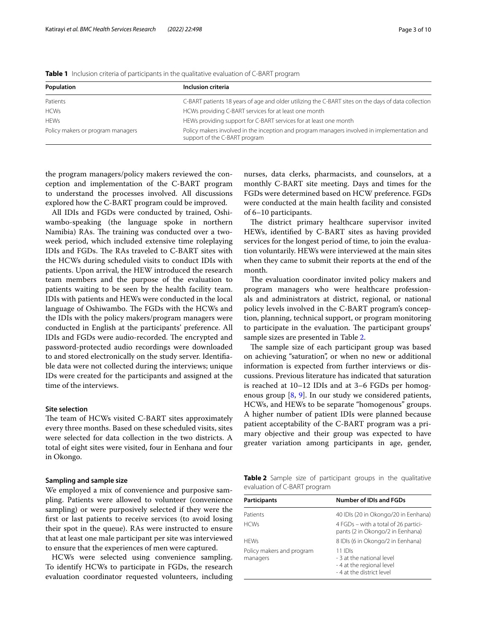<span id="page-2-0"></span>

|  |  |  |  |  | Table 1 Inclusion criteria of participants in the qualitative evaluation of C-BART program |  |  |
|--|--|--|--|--|--------------------------------------------------------------------------------------------|--|--|
|--|--|--|--|--|--------------------------------------------------------------------------------------------|--|--|

| Population                        | Inclusion criteria                                                                                                           |  |  |
|-----------------------------------|------------------------------------------------------------------------------------------------------------------------------|--|--|
| Patients                          | C-BART patients 18 years of age and older utilizing the C-BART sites on the days of data collection                          |  |  |
| <b>HCWs</b>                       | HCWs providing C-BART services for at least one month                                                                        |  |  |
| <b>HFWs</b>                       | HEWs providing support for C-BART services for at least one month                                                            |  |  |
| Policy makers or program managers | Policy makers involved in the inception and program managers involved in implementation and<br>support of the C-BART program |  |  |

the program managers/policy makers reviewed the conception and implementation of the C-BART program to understand the processes involved. All discussions explored how the C-BART program could be improved.

All IDIs and FGDs were conducted by trained, Oshiwambo-speaking (the language spoke in northern Namibia) RAs. The training was conducted over a twoweek period, which included extensive time roleplaying IDIs and FGDs. The RAs traveled to C-BART sites with the HCWs during scheduled visits to conduct IDIs with patients. Upon arrival, the HEW introduced the research team members and the purpose of the evaluation to patients waiting to be seen by the health facility team. IDIs with patients and HEWs were conducted in the local language of Oshiwambo. The FGDs with the HCWs and the IDIs with the policy makers/program managers were conducted in English at the participants' preference. All IDIs and FGDs were audio-recorded. The encrypted and password-protected audio recordings were downloaded to and stored electronically on the study server. Identifable data were not collected during the interviews; unique IDs were created for the participants and assigned at the time of the interviews.

# **Site selection**

The team of HCWs visited C-BART sites approximately every three months. Based on these scheduled visits, sites were selected for data collection in the two districts. A total of eight sites were visited, four in Eenhana and four in Okongo.

# **Sampling and sample size**

We employed a mix of convenience and purposive sampling. Patients were allowed to volunteer (convenience sampling) or were purposively selected if they were the frst or last patients to receive services (to avoid losing their spot in the queue). RAs were instructed to ensure that at least one male participant per site was interviewed to ensure that the experiences of men were captured.

HCWs were selected using convenience sampling. To identify HCWs to participate in FGDs, the research evaluation coordinator requested volunteers, including nurses, data clerks, pharmacists, and counselors, at a monthly C-BART site meeting. Days and times for the FGDs were determined based on HCW preference. FGDs were conducted at the main health facility and consisted of 6–10 participants.

The district primary healthcare supervisor invited HEWs, identifed by C-BART sites as having provided services for the longest period of time, to join the evaluation voluntarily. HEWs were interviewed at the main sites when they came to submit their reports at the end of the month.

The evaluation coordinator invited policy makers and program managers who were healthcare professionals and administrators at district, regional, or national policy levels involved in the C-BART program's conception, planning, technical support, or program monitoring to participate in the evaluation. The participant groups' sample sizes are presented in Table [2](#page-2-1).

The sample size of each participant group was based on achieving "saturation", or when no new or additional information is expected from further interviews or discussions. Previous literature has indicated that saturation is reached at 10–12 IDIs and at 3–6 FGDs per homogenous group [[8,](#page-8-7) [9\]](#page-9-0). In our study we considered patients, HCWs, and HEWs to be separate "homogenous" groups. A higher number of patient IDIs were planned because patient acceptability of the C-BART program was a primary objective and their group was expected to have greater variation among participants in age, gender,

<span id="page-2-1"></span>**Table 2** Sample size of participant groups in the qualitative evaluation of C-BART program

| Participants                          | <b>Number of IDIs and FGDs</b>                                                                  |  |
|---------------------------------------|-------------------------------------------------------------------------------------------------|--|
| Patients                              | 40 IDIs (20 in Okongo/20 in Eenhana)                                                            |  |
| <b>HCWs</b>                           | 4 FGDs – with a total of 26 partici-<br>pants (2 in Okongo/2 in Eenhana)                        |  |
| <b>HFWs</b>                           | 8 IDIs (6 in Okongo/2 in Eenhana)                                                               |  |
| Policy makers and program<br>managers | $11$ IDIs<br>- 3 at the national level<br>-4 at the regional level<br>- 4 at the district level |  |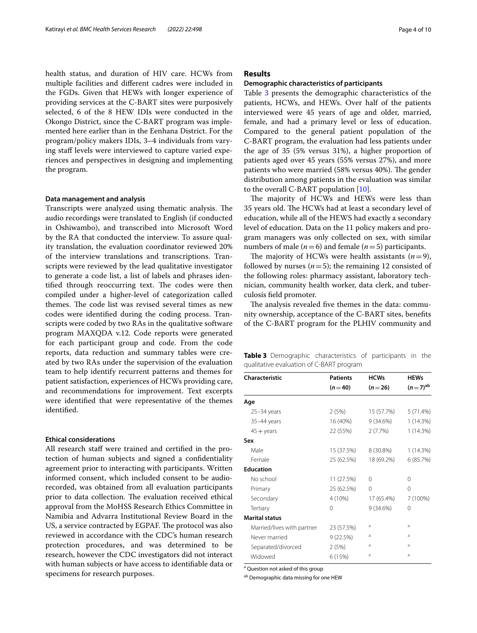health status, and duration of HIV care. HCWs from multiple facilities and diferent cadres were included in the FGDs. Given that HEWs with longer experience of providing services at the C-BART sites were purposively selected, 6 of the 8 HEW IDIs were conducted in the Okongo District, since the C-BART program was implemented here earlier than in the Eenhana District. For the program/policy makers IDIs, 3–4 individuals from varying staff levels were interviewed to capture varied experiences and perspectives in designing and implementing the program.

## **Data management and analysis**

Transcripts were analyzed using thematic analysis. The audio recordings were translated to English (if conducted in Oshiwambo), and transcribed into Microsoft Word by the RA that conducted the interview. To assure quality translation, the evaluation coordinator reviewed 20% of the interview translations and transcriptions. Transcripts were reviewed by the lead qualitative investigator to generate a code list, a list of labels and phrases identified through reoccurring text. The codes were then compiled under a higher-level of categorization called themes. The code list was revised several times as new codes were identifed during the coding process. Transcripts were coded by two RAs in the qualitative software program MAXQDA v.12. Code reports were generated for each participant group and code. From the code reports, data reduction and summary tables were created by two RAs under the supervision of the evaluation team to help identify recurrent patterns and themes for patient satisfaction, experiences of HCWs providing care, and recommendations for improvement. Text excerpts were identifed that were representative of the themes identifed.

#### **Ethical considerations**

All research staff were trained and certified in the protection of human subjects and signed a confdentiality agreement prior to interacting with participants. Written informed consent, which included consent to be audiorecorded, was obtained from all evaluation participants prior to data collection. The evaluation received ethical approval from the MoHSS Research Ethics Committee in Namibia and Advarra Institutional Review Board in the US, a service contracted by EGPAF. The protocol was also reviewed in accordance with the CDC's human research protection procedures, and was determined to be research, however the CDC investigators did not interact with human subjects or have access to identifable data or specimens for research purposes.

# **Results**

### **Demographic characteristics of participants**

Table [3](#page-3-0) presents the demographic characteristics of the patients, HCWs, and HEWs. Over half of the patients interviewed were 45 years of age and older, married, female, and had a primary level or less of education. Compared to the general patient population of the C-BART program, the evaluation had less patients under the age of 35 (5% versus 31%), a higher proportion of patients aged over 45 years (55% versus 27%), and more patients who were married (58% versus 40%). The gender distribution among patients in the evaluation was similar to the overall C-BART population [\[10](#page-9-1)].

The majority of HCWs and HEWs were less than 35 years old. The HCWs had at least a secondary level of education, while all of the HEWS had exactly a secondary level of education. Data on the 11 policy makers and program managers was only collected on sex, with similar numbers of male ( $n=6$ ) and female ( $n=5$ ) participants.

The majority of HCWs were health assistants  $(n=9)$ , followed by nurses  $(n=5)$ ; the remaining 12 consisted of the following roles: pharmacy assistant, laboratory technician, community health worker, data clerk, and tuberculosis feld promoter.

The analysis revealed five themes in the data: community ownership, acceptance of the C-BART sites, benefts of the C-BART program for the PLHIV community and

<span id="page-3-0"></span>**Table 3** Demographic characteristics of participants in the qualitative evaluation of C-BART program

| Characteristic             | <b>Patients</b> | <b>HCWs</b> | <b>HEWs</b>           |
|----------------------------|-----------------|-------------|-----------------------|
|                            | $(n=40)$        | $(n=26)$    | $(n=7)$ <sup>ab</sup> |
| Age                        |                 |             |                       |
| $25 - 34$ years            | 2(5%)           | 15 (57.7%)  | 5 (71.4%)             |
| 35-44 years                | 16 (40%)        | 9(34.6%)    | 1(14.3%)              |
| $45 + \mathrm{years}$      | 22 (55%)        | 2(7.7%)     | 1(14.3%)              |
| Sex                        |                 |             |                       |
| Male                       | 15 (37.5%)      | 8 (30.8%)   | 1 (14.3%)             |
| Female                     | 25 (62.5%)      | 18 (69.2%)  | 6(85.7%)              |
| <b>Education</b>           |                 |             |                       |
| No school                  | 11 (27.5%)      | $\Omega$    | $\Omega$              |
| Primary                    | 25 (62.5%)      | $\Omega$    | $\Omega$              |
| Secondary                  | 4 (10%)         | 17 (65.4%)  | 7 (100%)              |
| Tertiary                   | $\Omega$        | 9(34.6%)    | 0                     |
| <b>Marital status</b>      |                 |             |                       |
| Married/lives with partner | 23 (57.5%)      | a           | a                     |
| Never married              | 9(22.5%)        | a           | a                     |
| Separated/divorced         | 2(5%)           | a           | a                     |
| Widowed                    | 6 (15%)         | a           | a                     |

<sup>a</sup> Question not asked of this group

ab Demographic data missing for one HEW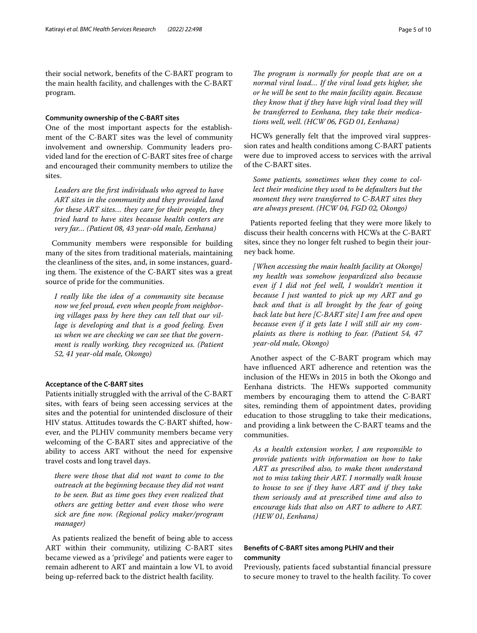their social network, benefts of the C-BART program to the main health facility, and challenges with the C-BART program.

# **Community ownership of the C‑BART sites**

One of the most important aspects for the establishment of the C-BART sites was the level of community involvement and ownership. Community leaders provided land for the erection of C-BART sites free of charge and encouraged their community members to utilize the sites.

*Leaders are the frst individuals who agreed to have ART sites in the community and they provided land for these ART sites… they care for their people, they tried hard to have sites because health centers are very far… (Patient 08, 43 year-old male, Eenhana)*

Community members were responsible for building many of the sites from traditional materials, maintaining the cleanliness of the sites, and, in some instances, guarding them. The existence of the C-BART sites was a great source of pride for the communities.

*I really like the idea of a community site because now we feel proud, even when people from neighboring villages pass by here they can tell that our village is developing and that is a good feeling. Even us when we are checking we can see that the government is really working, they recognized us. (Patient 52, 41 year-old male, Okongo)*

# **Acceptance of the C‑BART sites**

Patients initially struggled with the arrival of the C-BART sites, with fears of being seen accessing services at the sites and the potential for unintended disclosure of their HIV status. Attitudes towards the C-BART shifted, however, and the PLHIV community members became very welcoming of the C-BART sites and appreciative of the ability to access ART without the need for expensive travel costs and long travel days.

*there were those that did not want to come to the outreach at the beginning because they did not want to be seen. But as time goes they even realized that others are getting better and even those who were sick are fne now. (Regional policy maker/program manager)*

As patients realized the beneft of being able to access ART within their community, utilizing C-BART sites became viewed as a 'privilege' and patients were eager to remain adherent to ART and maintain a low VL to avoid being up-referred back to the district health facility.

The program is normally for people that are on a *normal viral load… If the viral load gets higher, she or he will be sent to the main facility again. Because they know that if they have high viral load they will be transferred to Eenhana, they take their medications well, well. (HCW 06, FGD 01, Eenhana)*

HCWs generally felt that the improved viral suppression rates and health conditions among C-BART patients were due to improved access to services with the arrival of the C-BART sites.

*Some patients, sometimes when they come to collect their medicine they used to be defaulters but the moment they were transferred to C-BART sites they are always present. (HCW 04, FGD 02, Okongo)*

Patients reported feeling that they were more likely to discuss their health concerns with HCWs at the C-BART sites, since they no longer felt rushed to begin their journey back home.

*[When accessing the main health facility at Okongo] my health was somehow jeopardized also because even if I did not feel well, I wouldn't mention it because I just wanted to pick up my ART and go back and that is all brought by the fear of going back late but here [C-BART site] I am free and open because even if it gets late I will still air my complaints as there is nothing to fear. (Patient 54, 47 year-old male, Okongo)*

Another aspect of the C-BART program which may have infuenced ART adherence and retention was the inclusion of the HEWs in 2015 in both the Okongo and Eenhana districts. The HEWs supported community members by encouraging them to attend the C-BART sites, reminding them of appointment dates, providing education to those struggling to take their medications, and providing a link between the C-BART teams and the communities.

*As a health extension worker, I am responsible to provide patients with information on how to take ART as prescribed also, to make them understand not to miss taking their ART. I normally walk house to house to see if they have ART and if they take them seriously and at prescribed time and also to encourage kids that also on ART to adhere to ART. (HEW 01, Eenhana)*

# **Benefts of C‑BART sites among PLHIV and their community**

Previously, patients faced substantial fnancial pressure to secure money to travel to the health facility. To cover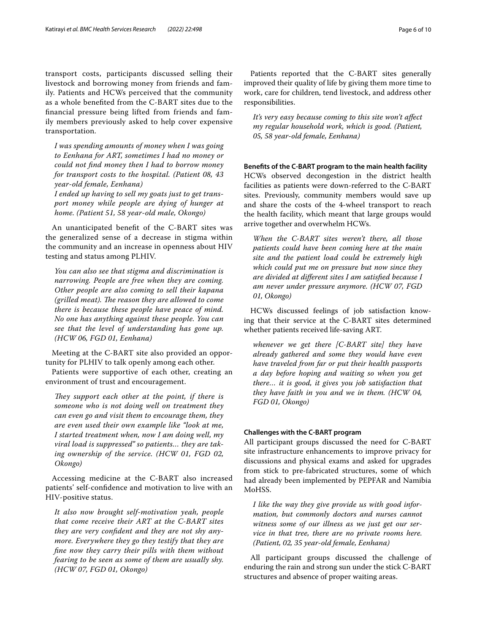transport costs, participants discussed selling their livestock and borrowing money from friends and family. Patients and HCWs perceived that the community as a whole benefted from the C-BART sites due to the fnancial pressure being lifted from friends and family members previously asked to help cover expensive transportation.

*I was spending amounts of money when I was going to Eenhana for ART, sometimes I had no money or could not fnd money then I had to borrow money for transport costs to the hospital. (Patient 08, 43 year-old female, Eenhana)*

*I ended up having to sell my goats just to get transport money while people are dying of hunger at home. (Patient 51, 58 year-old male, Okongo)*

An unanticipated beneft of the C-BART sites was the generalized sense of a decrease in stigma within the community and an increase in openness about HIV testing and status among PLHIV.

*You can also see that stigma and discrimination is narrowing. People are free when they are coming. Other people are also coming to sell their kapana (grilled meat). The reason they are allowed to come there is because these people have peace of mind. No one has anything against these people. You can see that the level of understanding has gone up. (HCW 06, FGD 01, Eenhana)*

Meeting at the C-BART site also provided an opportunity for PLHIV to talk openly among each other.

Patients were supportive of each other, creating an environment of trust and encouragement.

They support each other at the point, if there is *someone who is not doing well on treatment they can even go and visit them to encourage them, they are even used their own example like "look at me, I started treatment when, now I am doing well, my viral load is suppressed" so patients… they are taking ownership of the service. (HCW 01, FGD 02, Okongo)*

Accessing medicine at the C-BART also increased patients' self-confdence and motivation to live with an HIV-positive status.

*It also now brought self-motivation yeah, people that come receive their ART at the C-BART sites they are very confdent and they are not shy anymore. Everywhere they go they testify that they are fne now they carry their pills with them without fearing to be seen as some of them are usually shy. (HCW 07, FGD 01, Okongo)*

Patients reported that the C-BART sites generally improved their quality of life by giving them more time to work, care for children, tend livestock, and address other responsibilities.

*It's very easy because coming to this site won't afect my regular household work, which is good. (Patient, 05, 58 year-old female, Eenhana)*

**Benefts of the C‑BART program to the main health facility** HCWs observed decongestion in the district health facilities as patients were down-referred to the C-BART sites. Previously, community members would save up and share the costs of the 4-wheel transport to reach the health facility, which meant that large groups would arrive together and overwhelm HCWs.

*When the C-BART sites weren't there, all those patients could have been coming here at the main site and the patient load could be extremely high which could put me on pressure but now since they are divided at diferent sites I am satisfed because I am never under pressure anymore. (HCW 07, FGD 01, Okongo)*

HCWs discussed feelings of job satisfaction knowing that their service at the C-BART sites determined whether patients received life-saving ART.

*whenever we get there [C-BART site] they have already gathered and some they would have even have traveled from far or put their health passports a day before hoping and waiting so when you get there… it is good, it gives you job satisfaction that they have faith in you and we in them. (HCW 04, FGD 01, Okongo)*

# **Challenges with the C‑BART program**

All participant groups discussed the need for C-BART site infrastructure enhancements to improve privacy for discussions and physical exams and asked for upgrades from stick to pre-fabricated structures, some of which had already been implemented by PEPFAR and Namibia MoHSS.

*I like the way they give provide us with good information, but commonly doctors and nurses cannot witness some of our illness as we just get our service in that tree, there are no private rooms here. (Patient, 02, 35 year-old female, Eenhana)*

All participant groups discussed the challenge of enduring the rain and strong sun under the stick C-BART structures and absence of proper waiting areas.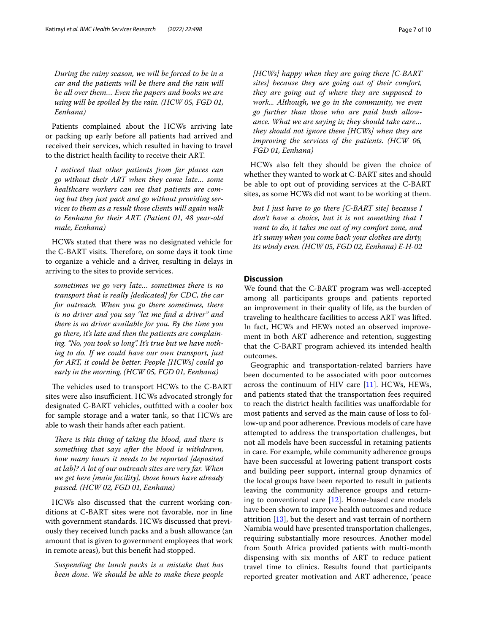*During the rainy season, we will be forced to be in a car and the patients will be there and the rain will be all over them… Even the papers and books we are using will be spoiled by the rain. (HCW 05, FGD 01, Eenhana)*

Patients complained about the HCWs arriving late or packing up early before all patients had arrived and received their services, which resulted in having to travel to the district health facility to receive their ART.

*I noticed that other patients from far places can go without their ART when they come late… some healthcare workers can see that patients are coming but they just pack and go without providing services to them as a result those clients will again walk to Eenhana for their ART. (Patient 01, 48 year-old male, Eenhana)*

HCWs stated that there was no designated vehicle for the C-BART visits. Therefore, on some days it took time to organize a vehicle and a driver, resulting in delays in arriving to the sites to provide services.

*sometimes we go very late… sometimes there is no transport that is really [dedicated] for CDC, the car for outreach. When you go there sometimes, there is no driver and you say "let me fnd a driver" and there is no driver available for you. By the time you go there, it's late and then the patients are complaining. "No, you took so long". It's true but we have nothing to do. If we could have our own transport, just for ART, it could be better. People [HCWs] could go early in the morning. (HCW 05, FGD 01, Eenhana)*

The vehicles used to transport HCWs to the C-BART sites were also insufficient. HCWs advocated strongly for designated C-BART vehicles, outftted with a cooler box for sample storage and a water tank, so that HCWs are able to wash their hands after each patient.

*There is this thing of taking the blood, and there is something that says after the blood is withdrawn, how many hours it needs to be reported [deposited at lab]? A lot of our outreach sites are very far. When we get here [main facility], those hours have already passed. (HCW 02, FGD 01, Eenhana)*

HCWs also discussed that the current working conditions at C-BART sites were not favorable, nor in line with government standards. HCWs discussed that previously they received lunch packs and a bush allowance (an amount that is given to government employees that work in remote areas), but this beneft had stopped.

*Suspending the lunch packs is a mistake that has been done. We should be able to make these people* 

*[HCWs] happy when they are going there [C-BART sites] because they are going out of their comfort, they are going out of where they are supposed to work... Although, we go in the community, we even go further than those who are paid bush allowance. What we are saying is; they should take care… they should not ignore them [HCWs] when they are improving the services of the patients. (HCW 06, FGD 01, Eenhana)*

HCWs also felt they should be given the choice of whether they wanted to work at C-BART sites and should be able to opt out of providing services at the C-BART sites, as some HCWs did not want to be working at them.

*but I just have to go there [C-BART site] because I don't have a choice, but it is not something that I want to do, it takes me out of my comfort zone, and it's sunny when you come back your clothes are dirty, its windy even. (HCW 05, FGD 02, Eenhana) E-H-02*

# **Discussion**

We found that the C-BART program was well-accepted among all participants groups and patients reported an improvement in their quality of life, as the burden of traveling to healthcare facilities to access ART was lifted. In fact, HCWs and HEWs noted an observed improvement in both ART adherence and retention, suggesting that the C-BART program achieved its intended health outcomes.

Geographic and transportation-related barriers have been documented to be associated with poor outcomes across the continuum of HIV care [[11\]](#page-9-2). HCWs, HEWs, and patients stated that the transportation fees required to reach the district health facilities was unafordable for most patients and served as the main cause of loss to follow-up and poor adherence. Previous models of care have attempted to address the transportation challenges, but not all models have been successful in retaining patients in care. For example, while community adherence groups have been successful at lowering patient transport costs and building peer support, internal group dynamics of the local groups have been reported to result in patients leaving the community adherence groups and returning to conventional care  $[12]$  $[12]$ . Home-based care models have been shown to improve health outcomes and reduce attrition [[13](#page-9-4)], but the desert and vast terrain of northern Namibia would have presented transportation challenges, requiring substantially more resources. Another model from South Africa provided patients with multi-month dispensing with six months of ART to reduce patient travel time to clinics. Results found that participants reported greater motivation and ART adherence, 'peace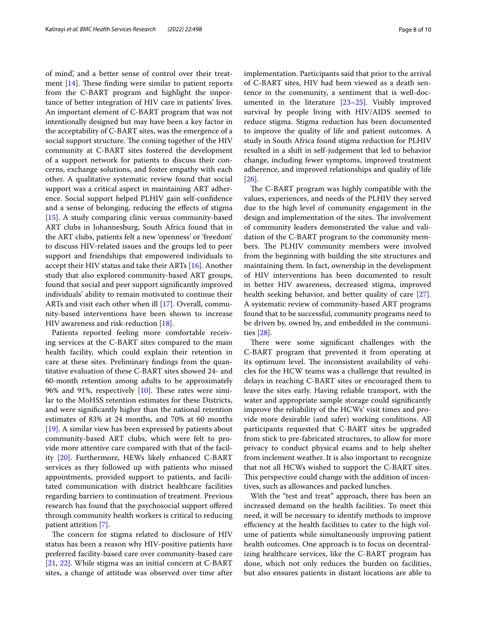of mind', and a better sense of control over their treatment  $[14]$  $[14]$  $[14]$ . These finding were similar to patient reports from the C-BART program and highlight the importance of better integration of HIV care in patients' lives. An important element of C-BART program that was not intentionally designed but may have been a key factor in the acceptability of C-BART sites, was the emergence of a social support structure. The coming together of the HIV community at C-BART sites fostered the development of a support network for patients to discuss their concerns, exchange solutions, and foster empathy with each other. A qualitative systematic review found that social support was a critical aspect in maintaining ART adherence. Social support helped PLHIV gain self-confdence and a sense of belonging, reducing the efects of stigma [[15\]](#page-9-6). A study comparing clinic versus community-based ART clubs in Johannesburg, South Africa found that in the ART clubs, patients felt a new 'openness' or 'freedom' to discuss HIV-related issues and the groups led to peer support and friendships that empowered individuals to accept their HIV status and take their ARTs [[16\]](#page-9-7). Another study that also explored community-based ART groups, found that social and peer support signifcantly improved individuals' ability to remain motivated to continue their ARTs and visit each other when ill [[17\]](#page-9-8). Overall, community-based interventions have been shown to increase HIV awareness and risk-reduction [\[18\]](#page-9-9).

Patients reported feeling more comfortable receiving services at the C-BART sites compared to the main health facility, which could explain their retention in care at these sites. Preliminary fndings from the quantitative evaluation of these C-BART sites showed 24- and 60-month retention among adults to be approximately 96% and 91%, respectively  $[10]$  $[10]$ . These rates were similar to the MoHSS retention estimates for these Districts, and were signifcantly higher than the national retention estimates of 83% at 24 months, and 70% at 60 months [[19\]](#page-9-10). A similar view has been expressed by patients about community-based ART clubs, which were felt to provide more attentive care compared with that of the facility [[20\]](#page-9-11). Furthermore, HEWs likely enhanced C-BART services as they followed up with patients who missed appointments, provided support to patients, and facilitated communication with district healthcare facilities regarding barriers to continuation of treatment. Previous research has found that the psychosocial support ofered through community health workers is critical to reducing patient attrition [[7\]](#page-8-6).

The concern for stigma related to disclosure of HIV status has been a reason why HIV-positive patients have preferred facility-based care over community-based care [[21,](#page-9-12) [22\]](#page-9-13). While stigma was an initial concern at C-BART sites, a change of attitude was observed over time after implementation. Participants said that prior to the arrival of C-BART sites, HIV had been viewed as a death sentence in the community, a sentiment that is well-documented in the literature [\[23–](#page-9-14)[25\]](#page-9-15). Visibly improved survival by people living with HIV/AIDS seemed to reduce stigma. Stigma reduction has been documented to improve the quality of life and patient outcomes. A study in South Africa found stigma reduction for PLHIV resulted in a shift in self-judgement that led to behavior change, including fewer symptoms, improved treatment adherence, and improved relationships and quality of life [[26\]](#page-9-16).

The C-BART program was highly compatible with the values, experiences, and needs of the PLHIV they served due to the high level of community engagement in the design and implementation of the sites. The involvement of community leaders demonstrated the value and validation of the C-BART program to the community members. The PLHIV community members were involved from the beginning with building the site structures and maintaining them. In fact, ownership in the development of HIV interventions has been documented to result in better HIV awareness, decreased stigma, improved health seeking behavior, and better quality of care [\[27](#page-9-17)]. A systematic review of community-based ART programs found that to be successful, community programs need to be driven by, owned by, and embedded in the communities [\[28](#page-9-18)].

There were some significant challenges with the C-BART program that prevented it from operating at its optimum level. The inconsistent availability of vehicles for the HCW teams was a challenge that resulted in delays in reaching C-BART sites or encouraged them to leave the sites early. Having reliable transport, with the water and appropriate sample storage could signifcantly improve the reliability of the HCWs' visit times and provide more desirable (and safer) working conditions. All participants requested that C-BART sites be upgraded from stick to pre-fabricated structures, to allow for more privacy to conduct physical exams and to help shelter from inclement weather. It is also important to recognize that not all HCWs wished to support the C-BART sites. This perspective could change with the addition of incentives, such as allowances and packed lunches.

With the "test and treat" approach, there has been an increased demand on the health facilities. To meet this need, it will be necessary to identify methods to improve efficiency at the health facilities to cater to the high volume of patients while simultaneously improving patient health outcomes. One approach is to focus on decentralizing healthcare services, like the C-BART program has done, which not only reduces the burden on facilities, but also ensures patients in distant locations are able to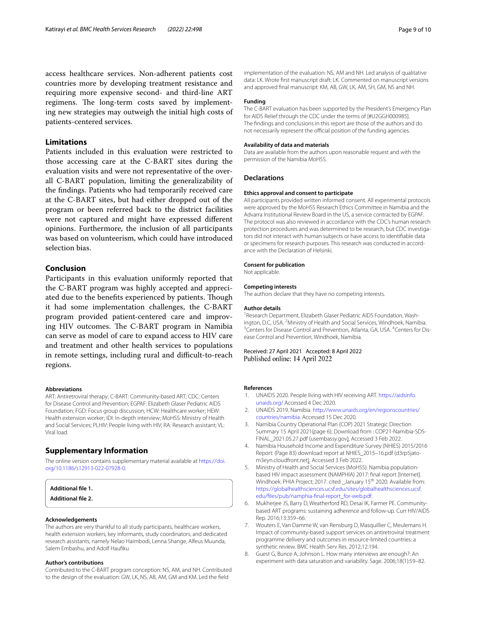access healthcare services. Non-adherent patients cost countries more by developing treatment resistance and requiring more expensive second- and third-line ART regimens. The long-term costs saved by implementing new strategies may outweigh the initial high costs of patients-centered services.

# **Limitations**

Patients included in this evaluation were restricted to those accessing care at the C-BART sites during the evaluation visits and were not representative of the overall C-BART population, limiting the generalizability of the fndings. Patients who had temporarily received care at the C-BART sites, but had either dropped out of the program or been referred back to the district facilities were not captured and might have expressed diferent opinions. Furthermore, the inclusion of all participants was based on volunteerism, which could have introduced selection bias.

# **Conclusion**

Participants in this evaluation uniformly reported that the C-BART program was highly accepted and appreciated due to the benefits experienced by patients. Though it had some implementation challenges, the C-BART program provided patient-centered care and improving HIV outcomes. The C-BART program in Namibia can serve as model of care to expand access to HIV care and treatment and other health services to populations in remote settings, including rural and difficult-to-reach regions.

#### **Abbreviations**

ART: Antiretroviral therapy; C-BART: Community-based ART; CDC: Centers for Disease Control and Prevention; EGPAF: Elizabeth Glaser Pediatric AIDS Foundation; FGD: Focus group discussion; HCW: Healthcare worker; HEW: Health extension worker; IDI: In-depth interview; MoHSS: Ministry of Health and Social Services; PLHIV: People living with HIV; RA: Research assistant; VL: Viral load.

# **Supplementary Information**

The online version contains supplementary material available at [https://doi.](https://doi.org/10.1186/s12913-022-07928-0) [org/10.1186/s12913-022-07928-0](https://doi.org/10.1186/s12913-022-07928-0).

# **Additional fle 1.**

**Additional fle 2.**

#### **Acknowledgements**

The authors are very thankful to all study participants, healthcare workers, health extension workers, key informants, study coordinators, and dedicated research assistants, namely Nelao Haimbodi, Lenna Shange, Alfeus Muunda, Salem Embashu, and Adolf Haufku

#### **Author's contributions**

Contributed to the C-BART program conception: NS, AM, and NH. Contributed to the design of the evaluation: GW, LK, NS, AB, AM, GM and KM. Led the feld

implementation of the evaluation: NS, AM and NH. Led analysis of qualitative data: LK. Wrote frst manuscript draft: LK. Commented on manuscript versions and approved fnal manuscript: KM, AB, GW, LK, AM, SH, GM, NS and NH.

#### **Funding**

The C-BART evaluation has been supported by the President's Emergency Plan for AIDS Relief through the CDC under the terms of [#U2GGH000985]. The fndings and conclusions in this report are those of the authors and do not necessarily represent the official position of the funding agencies.

#### **Availability of data and materials**

Data are available from the authors upon reasonable request and with the permission of the Namibia MoHSS.

## **Declarations**

#### **Ethics approval and consent to participate**

All participants provided written informed consent. All experimental protocols were approved by the MoHSS Research Ethics Committee in Namibia and the Advarra Institutional Review Board in the US, a service contracted by EGPAF. The protocol was also reviewed in accordance with the CDC's human research protection procedures and was determined to be research, but CDC investigators did not interact with human subjects or have access to identifable data or specimens for research purposes. This research was conducted in accordance with the Declaration of Helsinki.

#### **Consent for publication** Not applicable.

#### **Competing interests**

The authors declare that they have no competing interests.

#### **Author details**

<sup>1</sup> Research Department, Elizabeth Glaser Pediatric AIDS Foundation, Washington, D.C, USA. <sup>2</sup> Ministry of Health and Social Services, Windhoek, Namibia.<br><sup>3</sup> Conters for Disease Control and Provention, Atlanta GA, USA. <sup>4</sup> Conters for Di Centers for Disease Control and Prevention, Atlanta, GA, USA. <sup>4</sup>Centers for Disease Control and Prevention, Windhoek, Namibia.

Received: 27 April 2021 Accepted: 8 April 2022 Published online: 14 April 2022

#### **References**

- <span id="page-8-0"></span>UNAIDS 2020. People living with HIV receiving ART. [https://aidsinfo.](https://aidsinfo.unaids.org/) [unaids.org/](https://aidsinfo.unaids.org/) Accessed 4 Dec 2020.
- <span id="page-8-1"></span>2. UNAIDS 2019. Namibia. [http://www.unaids.org/en/regionscountries/](http://www.unaids.org/en/regionscountries/countries/namibia) [countries/namibia.](http://www.unaids.org/en/regionscountries/countries/namibia) Accessed 15 Dec 2020.
- <span id="page-8-2"></span>3. Namibia Country Operational Plan (COP) 2021 Strategic Direction Summary 15 April 2021(page 6); Download from : COP21-Namibia-SDS-FINAL\_2021.05.27.pdf (usembassy.gov). Accessed 3 Feb 2022.
- <span id="page-8-3"></span>4. Namibia Household Income and Expenditure Survey (NHIES) 2015/2016 Report: (Page 83) download report at NHIES\_2015–16.pdf (d3rp5jatom3eyn.cloudfront.net). Accessed 3 Feb 2022.
- <span id="page-8-4"></span>5. Ministry of Health and Social Services (MoHSS). Namibia populationbased HIV impact assessment (NAMPHIA) 2017: fnal report [Internet]. Windhoek: PHIA Project; 2017. cited \_January 15<sup>th</sup> 2020. Available from: [https://globalhealthsciences.ucsf.edu/sites/globalhealthsciences.ucsf.](https://globalhealthsciences.ucsf.edu/sites/globalhealthsciences.ucsf.edu/files/pub/namphia-final-report_for-web.pdf) [edu/fles/pub/namphia-fnal-report\\_for-web.pdf.](https://globalhealthsciences.ucsf.edu/sites/globalhealthsciences.ucsf.edu/files/pub/namphia-final-report_for-web.pdf)
- <span id="page-8-5"></span>6. Mukherjee JS, Barry D, Weatherford RD, Desai IK, Farmer PE. Communitybased ART programs: sustaining adherence and follow-up. Curr HIV/AIDS Rep. 2016;13:359–66.
- <span id="page-8-6"></span>7. Wouters E, Van Damme W, van Rensburg D, Masquillier C, Meulemans H. Impact of community-based support services on antiretroviral treatment programme delivery and outcomes in resource-limited countries: a synthetic review. BMC Health Serv Res. 2012;12:194.
- <span id="page-8-7"></span>8. Guest G, Bunce A, Johnson L. How many interviews are enough?: An experiment with data saturation and variability. Sage. 2006;18(1):59–82.